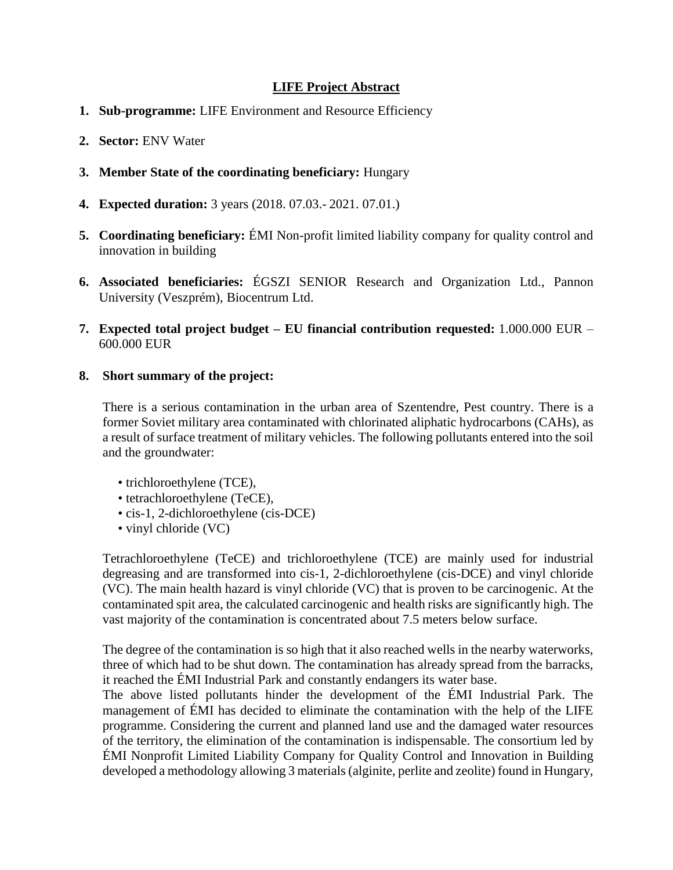## **LIFE Project Abstract**

- **1. Sub-programme:** LIFE Environment and Resource Efficiency
- **2. Sector:** ENV Water
- **3. Member State of the coordinating beneficiary:** Hungary
- **4. Expected duration:** 3 years (2018. 07.03.- 2021. 07.01.)
- **5. Coordinating beneficiary:** ÉMI Non-profit limited liability company for quality control and innovation in building
- **6. Associated beneficiaries:** ÉGSZI SENIOR Research and Organization Ltd., Pannon University (Veszprém), Biocentrum Ltd.
- **7. Expected total project budget – EU financial contribution requested:** 1.000.000 EUR 600.000 EUR

### **8. Short summary of the project:**

There is a serious contamination in the urban area of Szentendre, Pest country. There is a former Soviet military area contaminated with chlorinated aliphatic hydrocarbons (CAHs), as a result of surface treatment of military vehicles. The following pollutants entered into the soil and the groundwater:

- trichloroethylene (TCE),
- tetrachloroethylene (TeCE),
- cis-1, 2-dichloroethylene (cis-DCE)
- vinyl chloride (VC)

Tetrachloroethylene (TeCE) and trichloroethylene (TCE) are mainly used for industrial degreasing and are transformed into cis-1, 2-dichloroethylene (cis-DCE) and vinyl chloride (VC). The main health hazard is vinyl chloride (VC) that is proven to be carcinogenic. At the contaminated spit area, the calculated carcinogenic and health risks are significantly high. The vast majority of the contamination is concentrated about 7.5 meters below surface.

The degree of the contamination is so high that it also reached wells in the nearby waterworks, three of which had to be shut down. The contamination has already spread from the barracks, it reached the ÉMI Industrial Park and constantly endangers its water base.

The above listed pollutants hinder the development of the ÉMI Industrial Park. The management of ÉMI has decided to eliminate the contamination with the help of the LIFE programme. Considering the current and planned land use and the damaged water resources of the territory, the elimination of the contamination is indispensable. The consortium led by ÉMI Nonprofit Limited Liability Company for Quality Control and Innovation in Building developed a methodology allowing 3 materials (alginite, perlite and zeolite) found in Hungary,